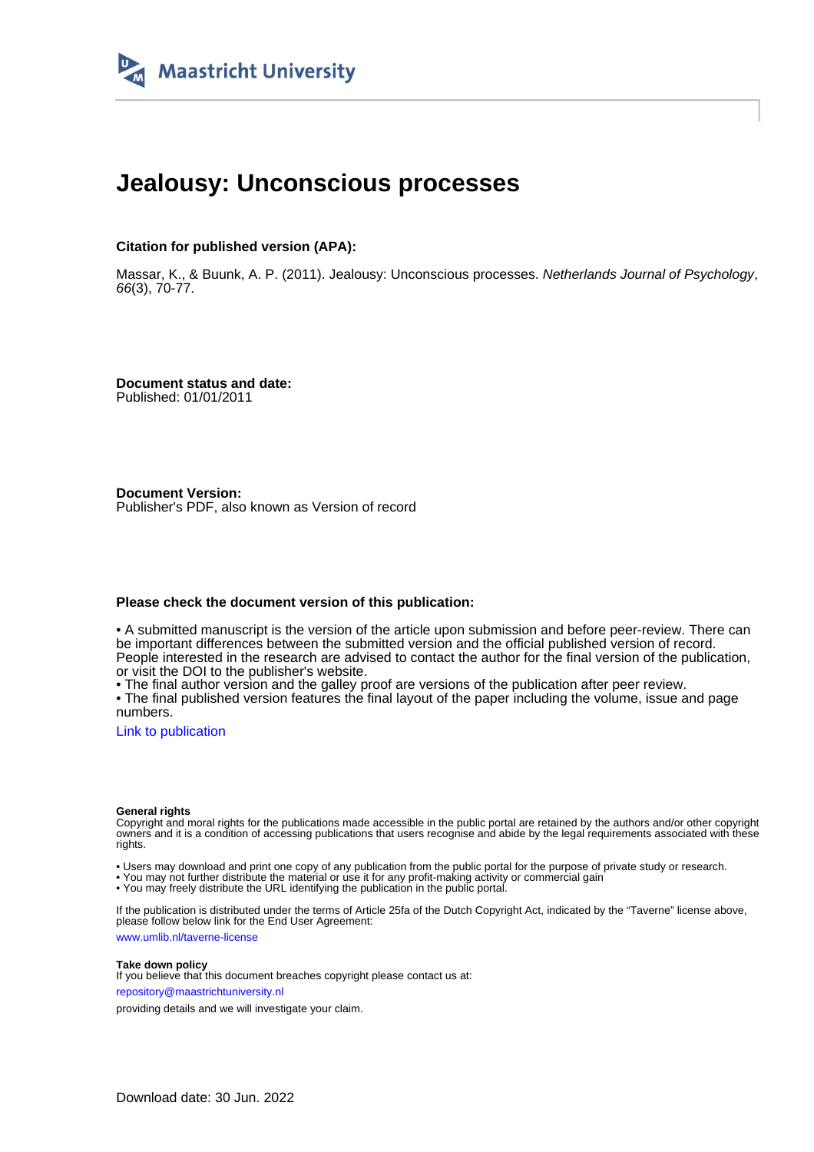

# **Jealousy: Unconscious processes**

#### **Citation for published version (APA):**

Massar, K., & Buunk, A. P. (2011). Jealousy: Unconscious processes. Netherlands Journal of Psychology, 66(3), 70-77.

**Document status and date:** Published: 01/01/2011

**Document Version:** Publisher's PDF, also known as Version of record

#### **Please check the document version of this publication:**

• A submitted manuscript is the version of the article upon submission and before peer-review. There can be important differences between the submitted version and the official published version of record. People interested in the research are advised to contact the author for the final version of the publication, or visit the DOI to the publisher's website.

• The final author version and the galley proof are versions of the publication after peer review.

• The final published version features the final layout of the paper including the volume, issue and page numbers.

[Link to publication](https://cris.maastrichtuniversity.nl/en/publications/cc11cb97-8994-469b-8554-562a524e40f4)

#### **General rights**

Copyright and moral rights for the publications made accessible in the public portal are retained by the authors and/or other copyright owners and it is a condition of accessing publications that users recognise and abide by the legal requirements associated with these rights.

• Users may download and print one copy of any publication from the public portal for the purpose of private study or research.

• You may not further distribute the material or use it for any profit-making activity or commercial gain

• You may freely distribute the URL identifying the publication in the public portal.

If the publication is distributed under the terms of Article 25fa of the Dutch Copyright Act, indicated by the "Taverne" license above, please follow below link for the End User Agreement:

www.umlib.nl/taverne-license

#### **Take down policy**

If you believe that this document breaches copyright please contact us at: repository@maastrichtuniversity.nl

providing details and we will investigate your claim.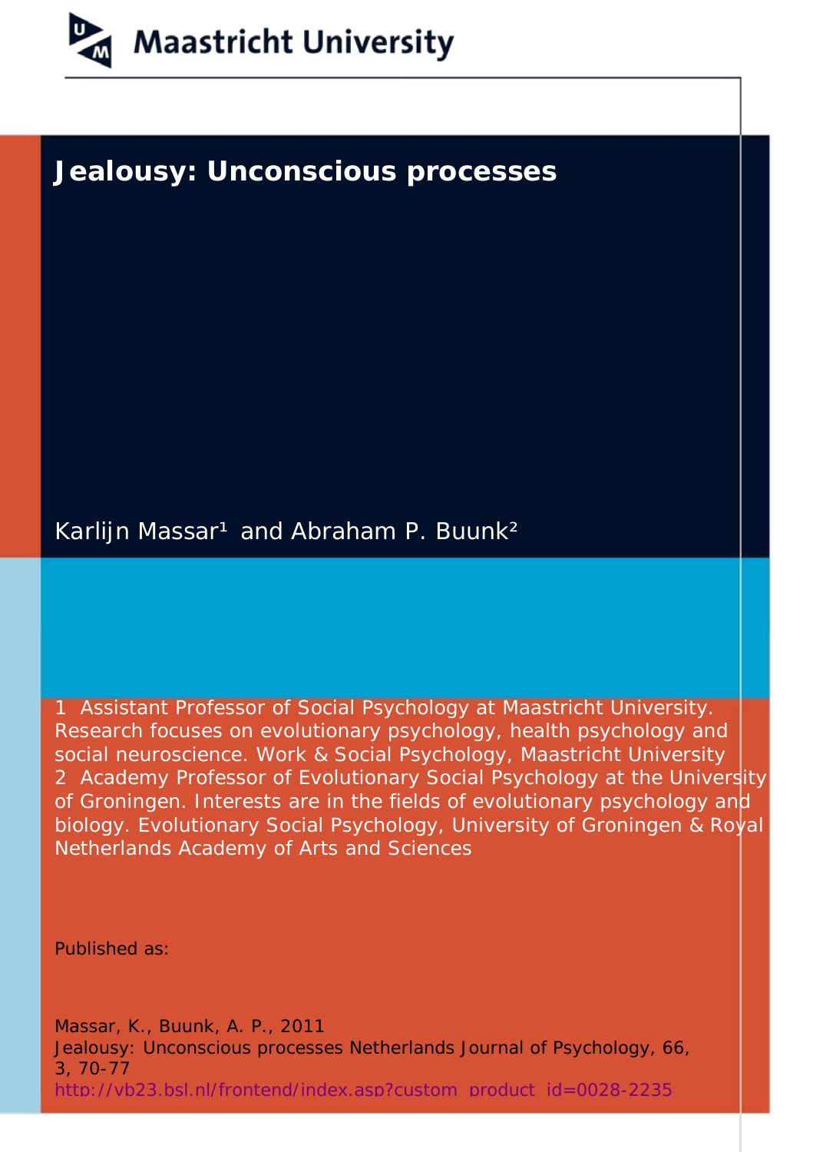

## **Jealousy: Unconscious processes**

Karlijn Massar<sup>1</sup> and Abraham P. Buunk<sup>2</sup>

1 Assistant Professor of Social Psychology at Maastricht University. Research focuses on evolutionary psychology, health psychology and social neuroscience. Work & Social Psychology, Maastricht University 2 Academy Professor of Evolutionary Social Psychology at the University of Groningen. Interests are in the fields of evolutionary psychology and biology. Evolutionary Social Psychology, University of Groningen & Royal Netherlands Academy of Arts and Sciences

Published as:

Massar, K., Buunk, A. P., 2011 Jealousy: Unconscious processes *Netherlands Journal of Psychology,* 66, 3, 70-77 [http://vb23.bsl.nl/frontend/index.asp?custom product id=0028-2235](http://vb23.bsl.nl/frontend/index.asp?custom_product_id=0028-2235)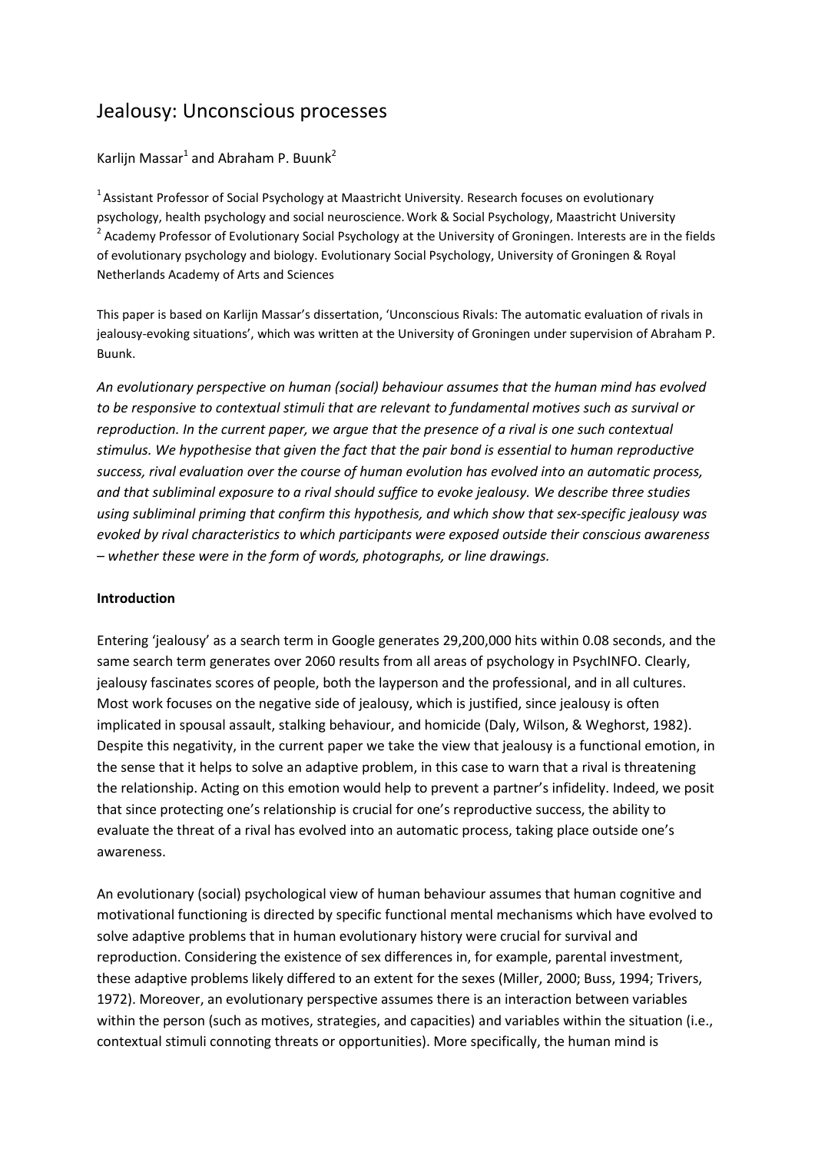## Jealousy: Unconscious processes

## Karlijn Massar<sup>1</sup> and Abraham P. Buunk<sup>2</sup>

 $<sup>1</sup>$  Assistant Professor of Social Psychology at Maastricht University. Research focuses on evolutionary</sup> psychology, health psychology and social neuroscience.Work & Social Psychology, Maastricht University <sup>2</sup> Academy Professor of Evolutionary Social Psychology at the University of Groningen. Interests are in the fields of evolutionary psychology and biology. Evolutionary Social Psychology, University of Groningen & Royal Netherlands Academy of Arts and Sciences

This paper is based on Karlijn Massar's dissertation, 'Unconscious Rivals: The automatic evaluation of rivals in jealousy-evoking situations', which was written at the University of Groningen under supervision of Abraham P. Buunk.

*An evolutionary perspective on human (social) behaviour assumes that the human mind has evolved to be responsive to contextual stimuli that are relevant to fundamental motives such as survival or reproduction. In the current paper, we argue that the presence of a rival is one such contextual stimulus. We hypothesise that given the fact that the pair bond is essential to human reproductive success, rival evaluation over the course of human evolution has evolved into an automatic process, and that subliminal exposure to a rival should suffice to evoke jealousy. We describe three studies using subliminal priming that confirm this hypothesis, and which show that sex-specific jealousy was evoked by rival characteristics to which participants were exposed outside their conscious awareness – whether these were in the form of words, photographs, or line drawings.* 

#### **Introduction**

Entering 'jealousy' as a search term in Google generates 29,200,000 hits within 0.08 seconds, and the same search term generates over 2060 results from all areas of psychology in PsychINFO. Clearly, jealousy fascinates scores of people, both the layperson and the professional, and in all cultures. Most work focuses on the negative side of jealousy, which is justified, since jealousy is often implicated in spousal assault, stalking behaviour, and homicide (Daly, Wilson, & Weghorst, 1982). Despite this negativity, in the current paper we take the view that jealousy is a functional emotion, in the sense that it helps to solve an adaptive problem, in this case to warn that a rival is threatening the relationship. Acting on this emotion would help to prevent a partner's infidelity. Indeed, we posit that since protecting one's relationship is crucial for one's reproductive success, the ability to evaluate the threat of a rival has evolved into an automatic process, taking place outside one's awareness.

An evolutionary (social) psychological view of human behaviour assumes that human cognitive and motivational functioning is directed by specific functional mental mechanisms which have evolved to solve adaptive problems that in human evolutionary history were crucial for survival and reproduction. Considering the existence of sex differences in, for example, parental investment, these adaptive problems likely differed to an extent for the sexes (Miller, 2000; Buss, 1994; Trivers, 1972). Moreover, an evolutionary perspective assumes there is an interaction between variables within the person (such as motives, strategies, and capacities) and variables within the situation (i.e., contextual stimuli connoting threats or opportunities). More specifically, the human mind is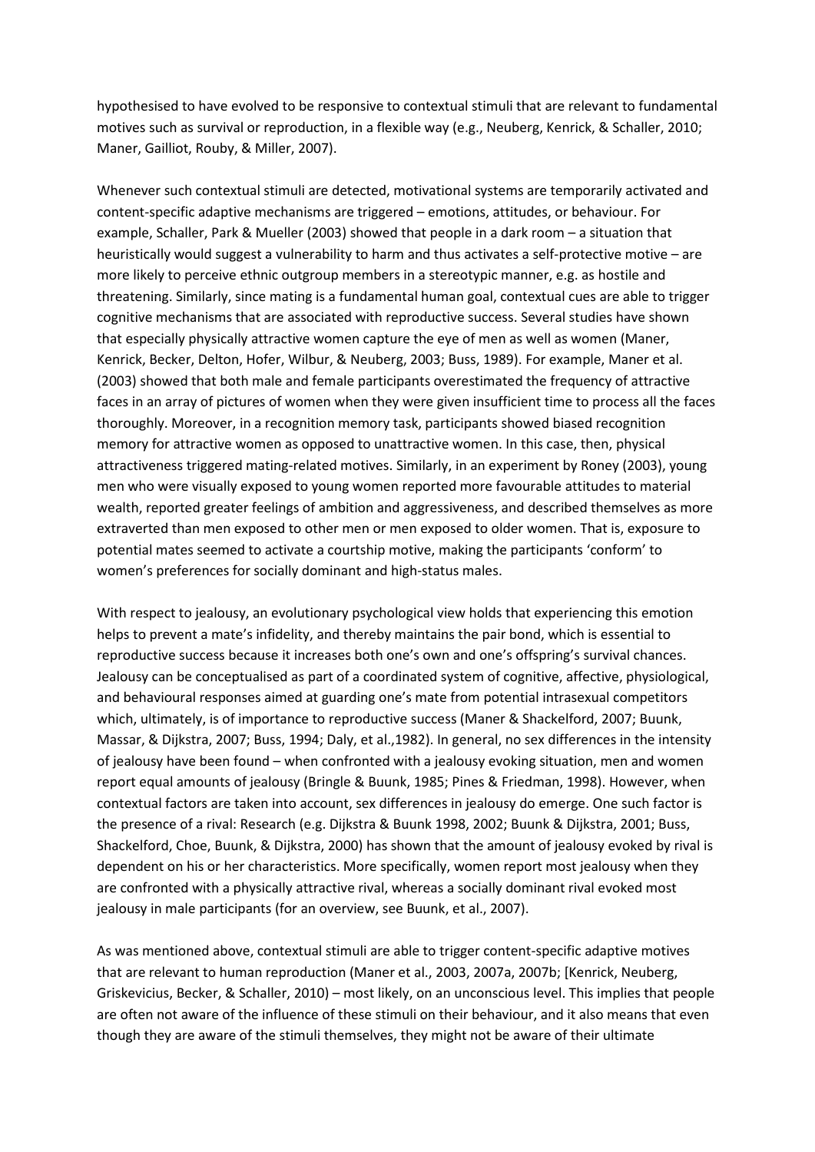hypothesised to have evolved to be responsive to contextual stimuli that are relevant to fundamental motives such as survival or reproduction, in a flexible way (e.g., Neuberg, Kenrick, & Schaller, 2010; Maner, Gailliot, Rouby, & Miller, 2007).

Whenever such contextual stimuli are detected, motivational systems are temporarily activated and content-specific adaptive mechanisms are triggered – emotions, attitudes, or behaviour. For example, Schaller, Park & Mueller (2003) showed that people in a dark room – a situation that heuristically would suggest a vulnerability to harm and thus activates a self-protective motive – are more likely to perceive ethnic outgroup members in a stereotypic manner, e.g. as hostile and threatening. Similarly, since mating is a fundamental human goal, contextual cues are able to trigger cognitive mechanisms that are associated with reproductive success. Several studies have shown that especially physically attractive women capture the eye of men as well as women (Maner, Kenrick, Becker, Delton, Hofer, Wilbur, & Neuberg, 2003; Buss, 1989). For example, Maner et al. (2003) showed that both male and female participants overestimated the frequency of attractive faces in an array of pictures of women when they were given insufficient time to process all the faces thoroughly. Moreover, in a recognition memory task, participants showed biased recognition memory for attractive women as opposed to unattractive women. In this case, then, physical attractiveness triggered mating-related motives. Similarly, in an experiment by Roney (2003), young men who were visually exposed to young women reported more favourable attitudes to material wealth, reported greater feelings of ambition and aggressiveness, and described themselves as more extraverted than men exposed to other men or men exposed to older women. That is, exposure to potential mates seemed to activate a courtship motive, making the participants 'conform' to women's preferences for socially dominant and high-status males.

With respect to jealousy, an evolutionary psychological view holds that experiencing this emotion helps to prevent a mate's infidelity, and thereby maintains the pair bond, which is essential to reproductive success because it increases both one's own and one's offspring's survival chances. Jealousy can be conceptualised as part of a coordinated system of cognitive, affective, physiological, and behavioural responses aimed at guarding one's mate from potential intrasexual competitors which, ultimately, is of importance to reproductive success (Maner & Shackelford, 2007; Buunk, Massar, & Dijkstra, 2007; Buss, 1994; Daly, et al.,1982). In general, no sex differences in the intensity of jealousy have been found – when confronted with a jealousy evoking situation, men and women report equal amounts of jealousy (Bringle & Buunk, 1985; Pines & Friedman, 1998). However, when contextual factors are taken into account, sex differences in jealousy do emerge. One such factor is the presence of a rival: Research (e.g. Dijkstra & Buunk 1998, 2002; Buunk & Dijkstra, 2001; Buss, Shackelford, Choe, Buunk, & Dijkstra, 2000) has shown that the amount of jealousy evoked by rival is dependent on his or her characteristics. More specifically, women report most jealousy when they are confronted with a physically attractive rival, whereas a socially dominant rival evoked most jealousy in male participants (for an overview, see Buunk, et al., 2007).

As was mentioned above, contextual stimuli are able to trigger content-specific adaptive motives that are relevant to human reproduction (Maner et al., 2003, 2007a, 2007b; [Kenrick, Neuberg, Griskevicius, Becker, & Schaller, 2010) – most likely, on an unconscious level. This implies that people are often not aware of the influence of these stimuli on their behaviour, and it also means that even though they are aware of the stimuli themselves, they might not be aware of their ultimate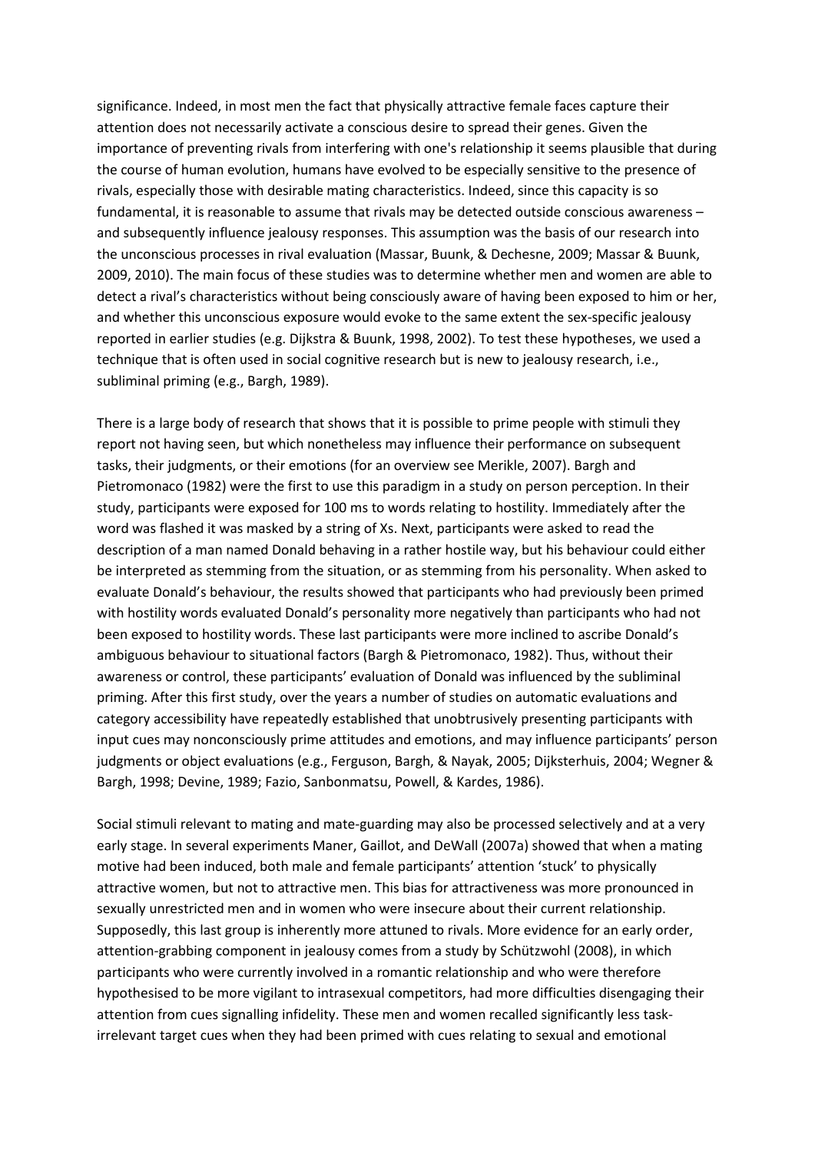significance. Indeed, in most men the fact that physically attractive female faces capture their attention does not necessarily activate a conscious desire to spread their genes. Given the importance of preventing rivals from interfering with one's relationship it seems plausible that during the course of human evolution, humans have evolved to be especially sensitive to the presence of rivals, especially those with desirable mating characteristics. Indeed, since this capacity is so fundamental, it is reasonable to assume that rivals may be detected outside conscious awareness – and subsequently influence jealousy responses. This assumption was the basis of our research into the unconscious processes in rival evaluation (Massar, Buunk, & Dechesne, 2009; Massar & Buunk, 2009, 2010). The main focus of these studies was to determine whether men and women are able to detect a rival's characteristics without being consciously aware of having been exposed to him or her, and whether this unconscious exposure would evoke to the same extent the sex-specific jealousy reported in earlier studies (e.g. Dijkstra & Buunk, 1998, 2002). To test these hypotheses, we used a technique that is often used in social cognitive research but is new to jealousy research, i.e., subliminal priming (e.g., Bargh, 1989).

There is a large body of research that shows that it is possible to prime people with stimuli they report not having seen, but which nonetheless may influence their performance on subsequent tasks, their judgments, or their emotions (for an overview see Merikle, 2007). Bargh and Pietromonaco (1982) were the first to use this paradigm in a study on person perception. In their study, participants were exposed for 100 ms to words relating to hostility. Immediately after the word was flashed it was masked by a string of Xs. Next, participants were asked to read the description of a man named Donald behaving in a rather hostile way, but his behaviour could either be interpreted as stemming from the situation, or as stemming from his personality. When asked to evaluate Donald's behaviour, the results showed that participants who had previously been primed with hostility words evaluated Donald's personality more negatively than participants who had not been exposed to hostility words. These last participants were more inclined to ascribe Donald's ambiguous behaviour to situational factors (Bargh & Pietromonaco, 1982). Thus, without their awareness or control, these participants' evaluation of Donald was influenced by the subliminal priming. After this first study, over the years a number of studies on automatic evaluations and category accessibility have repeatedly established that unobtrusively presenting participants with input cues may nonconsciously prime attitudes and emotions, and may influence participants' person judgments or object evaluations (e.g., Ferguson, Bargh, & Nayak, 2005; Dijksterhuis, 2004; Wegner & Bargh, 1998; Devine, 1989; Fazio, Sanbonmatsu, Powell, & Kardes, 1986).

Social stimuli relevant to mating and mate-guarding may also be processed selectively and at a very early stage. In several experiments Maner, Gaillot, and DeWall (2007a) showed that when a mating motive had been induced, both male and female participants' attention 'stuck' to physically attractive women, but not to attractive men. This bias for attractiveness was more pronounced in sexually unrestricted men and in women who were insecure about their current relationship. Supposedly, this last group is inherently more attuned to rivals. More evidence for an early order, attention-grabbing component in jealousy comes from a study by Schützwohl (2008), in which participants who were currently involved in a romantic relationship and who were therefore hypothesised to be more vigilant to intrasexual competitors, had more difficulties disengaging their attention from cues signalling infidelity. These men and women recalled significantly less taskirrelevant target cues when they had been primed with cues relating to sexual and emotional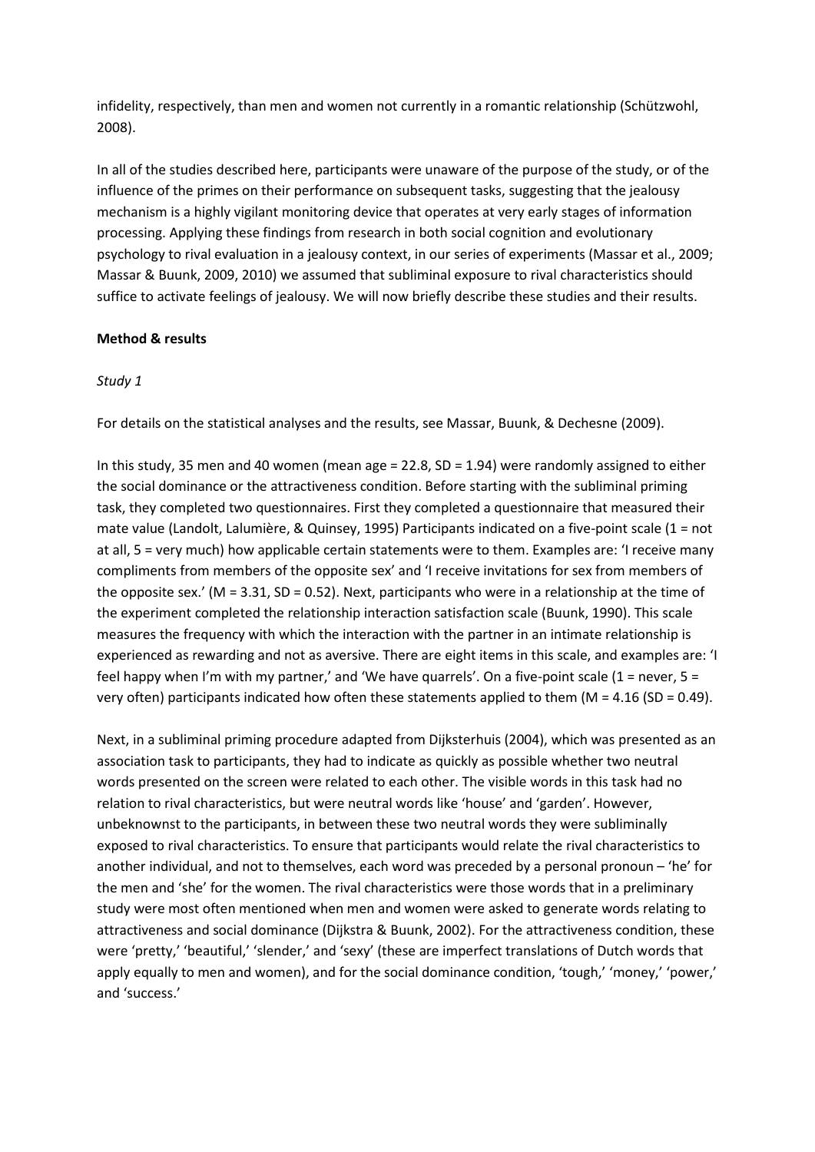infidelity, respectively, than men and women not currently in a romantic relationship (Schützwohl, 2008).

In all of the studies described here, participants were unaware of the purpose of the study, or of the influence of the primes on their performance on subsequent tasks, suggesting that the jealousy mechanism is a highly vigilant monitoring device that operates at very early stages of information processing. Applying these findings from research in both social cognition and evolutionary psychology to rival evaluation in a jealousy context, in our series of experiments (Massar et al., 2009; Massar & Buunk, 2009, 2010) we assumed that subliminal exposure to rival characteristics should suffice to activate feelings of jealousy. We will now briefly describe these studies and their results.

#### **Method & results**

#### *Study 1*

For details on the statistical analyses and the results, see Massar, Buunk, & Dechesne (2009).

In this study, 35 men and 40 women (mean age =  $22.8$ , SD =  $1.94$ ) were randomly assigned to either the social dominance or the attractiveness condition. Before starting with the subliminal priming task, they completed two questionnaires. First they completed a questionnaire that measured their mate value (Landolt, Lalumière, & Quinsey, 1995) Participants indicated on a five-point scale (1 = not at all, 5 = very much) how applicable certain statements were to them. Examples are: 'I receive many compliments from members of the opposite sex' and 'I receive invitations for sex from members of the opposite sex.' ( $M = 3.31$ , SD = 0.52). Next, participants who were in a relationship at the time of the experiment completed the relationship interaction satisfaction scale (Buunk, 1990). This scale measures the frequency with which the interaction with the partner in an intimate relationship is experienced as rewarding and not as aversive. There are eight items in this scale, and examples are: 'I feel happy when I'm with my partner,' and 'We have quarrels'. On a five-point scale  $(1 = never, 5 =$ very often) participants indicated how often these statements applied to them ( $M = 4.16$  (SD = 0.49).

Next, in a subliminal priming procedure adapted from Dijksterhuis (2004), which was presented as an association task to participants, they had to indicate as quickly as possible whether two neutral words presented on the screen were related to each other. The visible words in this task had no relation to rival characteristics, but were neutral words like 'house' and 'garden'. However, unbeknownst to the participants, in between these two neutral words they were subliminally exposed to rival characteristics. To ensure that participants would relate the rival characteristics to another individual, and not to themselves, each word was preceded by a personal pronoun – 'he' for the men and 'she' for the women. The rival characteristics were those words that in a preliminary study were most often mentioned when men and women were asked to generate words relating to attractiveness and social dominance (Dijkstra & Buunk, 2002). For the attractiveness condition, these were 'pretty,' 'beautiful,' 'slender,' and 'sexy' (these are imperfect translations of Dutch words that apply equally to men and women), and for the social dominance condition, 'tough,' 'money,' 'power,' and 'success.'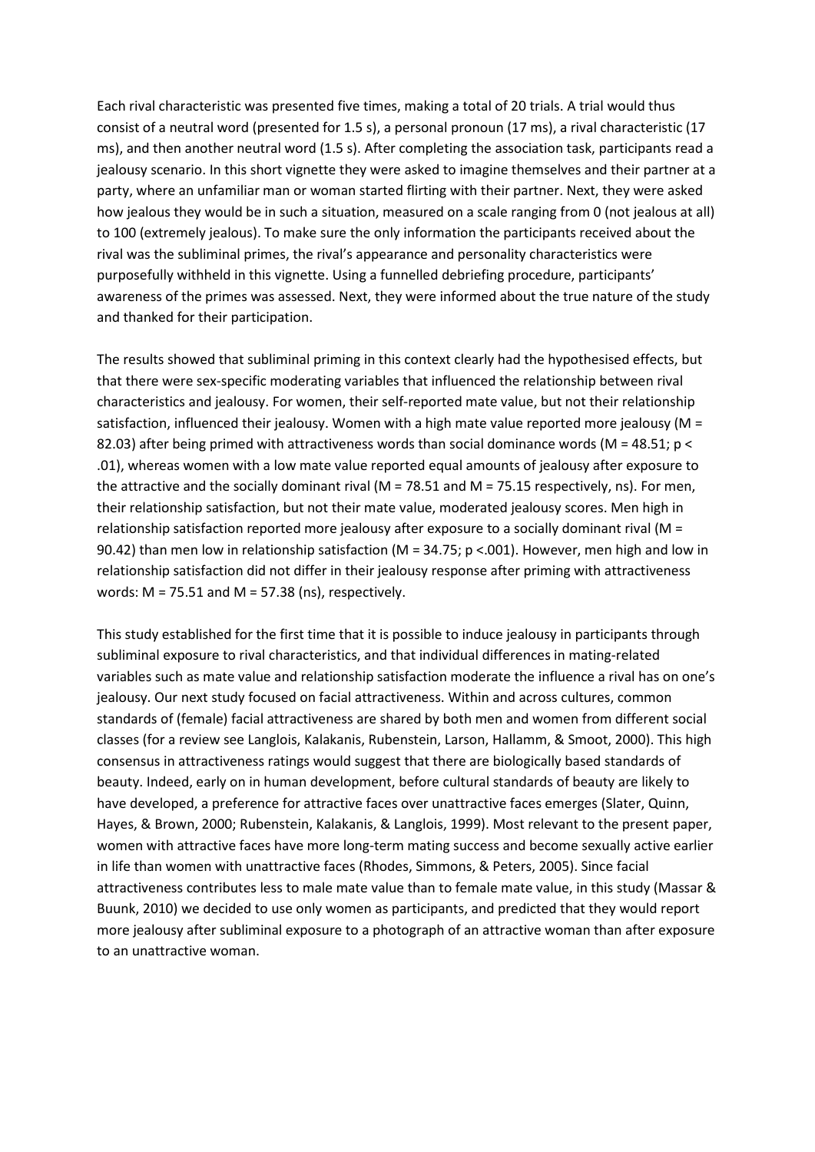Each rival characteristic was presented five times, making a total of 20 trials. A trial would thus consist of a neutral word (presented for 1.5 s), a personal pronoun (17 ms), a rival characteristic (17 ms), and then another neutral word (1.5 s). After completing the association task, participants read a jealousy scenario. In this short vignette they were asked to imagine themselves and their partner at a party, where an unfamiliar man or woman started flirting with their partner. Next, they were asked how jealous they would be in such a situation, measured on a scale ranging from 0 (not jealous at all) to 100 (extremely jealous). To make sure the only information the participants received about the rival was the subliminal primes, the rival's appearance and personality characteristics were purposefully withheld in this vignette. Using a funnelled debriefing procedure, participants' awareness of the primes was assessed. Next, they were informed about the true nature of the study and thanked for their participation.

The results showed that subliminal priming in this context clearly had the hypothesised effects, but that there were sex-specific moderating variables that influenced the relationship between rival characteristics and jealousy. For women, their self-reported mate value, but not their relationship satisfaction, influenced their jealousy. Women with a high mate value reported more jealousy ( $M =$ 82.03) after being primed with attractiveness words than social dominance words (M = 48.51; p < .01), whereas women with a low mate value reported equal amounts of jealousy after exposure to the attractive and the socially dominant rival (M = 78.51 and M = 75.15 respectively, ns). For men, their relationship satisfaction, but not their mate value, moderated jealousy scores. Men high in relationship satisfaction reported more jealousy after exposure to a socially dominant rival (M = 90.42) than men low in relationship satisfaction (M = 34.75; p <.001). However, men high and low in relationship satisfaction did not differ in their jealousy response after priming with attractiveness words:  $M = 75.51$  and  $M = 57.38$  (ns), respectively.

This study established for the first time that it is possible to induce jealousy in participants through subliminal exposure to rival characteristics, and that individual differences in mating-related variables such as mate value and relationship satisfaction moderate the influence a rival has on one's jealousy. Our next study focused on facial attractiveness. Within and across cultures, common standards of (female) facial attractiveness are shared by both men and women from different social classes (for a review see Langlois, Kalakanis, Rubenstein, Larson, Hallamm, & Smoot, 2000). This high consensus in attractiveness ratings would suggest that there are biologically based standards of beauty. Indeed, early on in human development, before cultural standards of beauty are likely to have developed, a preference for attractive faces over unattractive faces emerges (Slater, Quinn, Hayes, & Brown, 2000; Rubenstein, Kalakanis, & Langlois, 1999). Most relevant to the present paper, women with attractive faces have more long-term mating success and become sexually active earlier in life than women with unattractive faces (Rhodes, Simmons, & Peters, 2005). Since facial attractiveness contributes less to male mate value than to female mate value, in this study (Massar & Buunk, 2010) we decided to use only women as participants, and predicted that they would report more jealousy after subliminal exposure to a photograph of an attractive woman than after exposure to an unattractive woman.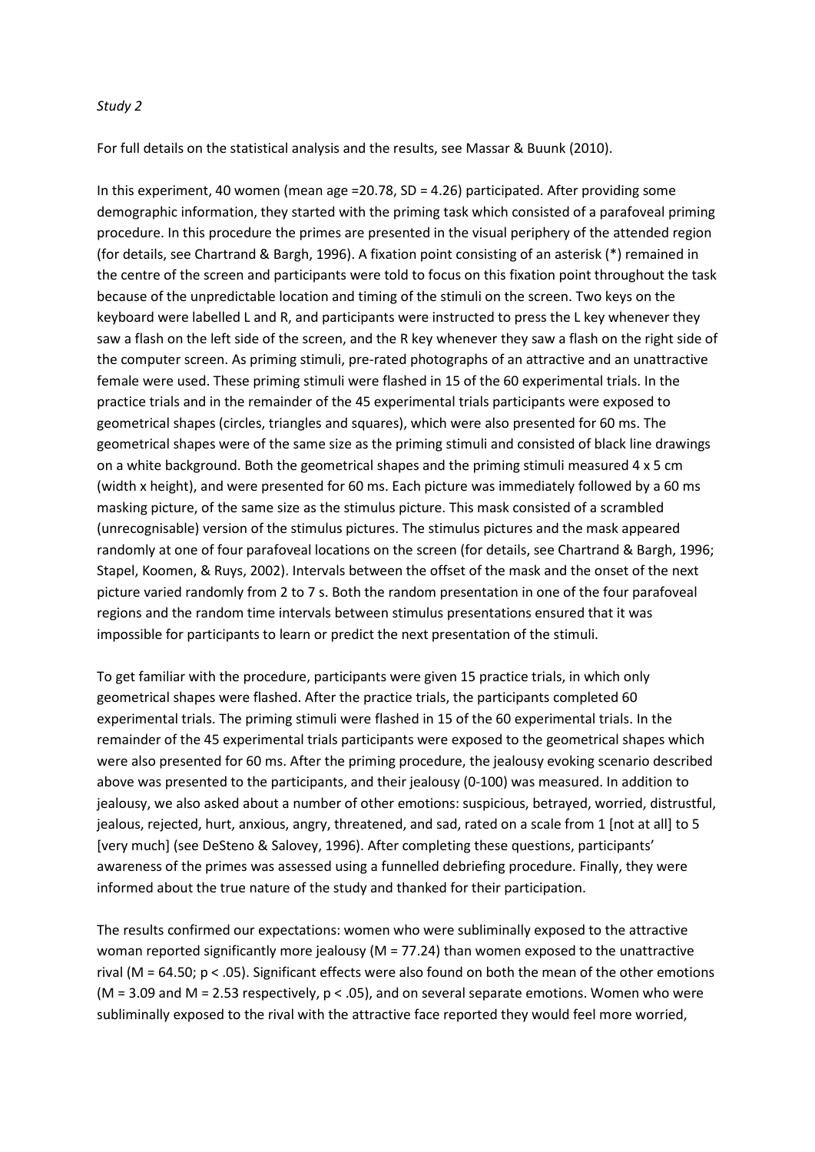#### *Study 2*

For full details on the statistical analysis and the results, see Massar & Buunk (2010).

In this experiment, 40 women (mean age =20.78, SD = 4.26) participated. After providing some demographic information, they started with the priming task which consisted of a parafoveal priming procedure. In this procedure the primes are presented in the visual periphery of the attended region (for details, see Chartrand & Bargh, 1996). A fixation point consisting of an asterisk (\*) remained in the centre of the screen and participants were told to focus on this fixation point throughout the task because of the unpredictable location and timing of the stimuli on the screen. Two keys on the keyboard were labelled L and R, and participants were instructed to press the L key whenever they saw a flash on the left side of the screen, and the R key whenever they saw a flash on the right side of the computer screen. As priming stimuli, pre-rated photographs of an attractive and an unattractive female were used. These priming stimuli were flashed in 15 of the 60 experimental trials. In the practice trials and in the remainder of the 45 experimental trials participants were exposed to geometrical shapes (circles, triangles and squares), which were also presented for 60 ms. The geometrical shapes were of the same size as the priming stimuli and consisted of black line drawings on a white background. Both the geometrical shapes and the priming stimuli measured 4 x 5 cm (width x height), and were presented for 60 ms. Each picture was immediately followed by a 60 ms masking picture, of the same size as the stimulus picture. This mask consisted of a scrambled (unrecognisable) version of the stimulus pictures. The stimulus pictures and the mask appeared randomly at one of four parafoveal locations on the screen (for details, see Chartrand & Bargh, 1996; Stapel, Koomen, & Ruys, 2002). Intervals between the offset of the mask and the onset of the next picture varied randomly from 2 to 7 s. Both the random presentation in one of the four parafoveal regions and the random time intervals between stimulus presentations ensured that it was impossible for participants to learn or predict the next presentation of the stimuli.

To get familiar with the procedure, participants were given 15 practice trials, in which only geometrical shapes were flashed. After the practice trials, the participants completed 60 experimental trials. The priming stimuli were flashed in 15 of the 60 experimental trials. In the remainder of the 45 experimental trials participants were exposed to the geometrical shapes which were also presented for 60 ms. After the priming procedure, the jealousy evoking scenario described above was presented to the participants, and their jealousy (0-100) was measured. In addition to jealousy, we also asked about a number of other emotions: suspicious, betrayed, worried, distrustful, jealous, rejected, hurt, anxious, angry, threatened, and sad, rated on a scale from 1 [not at all] to 5 [very much] (see DeSteno & Salovey, 1996). After completing these questions, participants' awareness of the primes was assessed using a funnelled debriefing procedure. Finally, they were informed about the true nature of the study and thanked for their participation.

The results confirmed our expectations: women who were subliminally exposed to the attractive woman reported significantly more jealousy (M = 77.24) than women exposed to the unattractive rival (M = 64.50; p < .05). Significant effects were also found on both the mean of the other emotions ( $M = 3.09$  and  $M = 2.53$  respectively,  $p < .05$ ), and on several separate emotions. Women who were subliminally exposed to the rival with the attractive face reported they would feel more worried,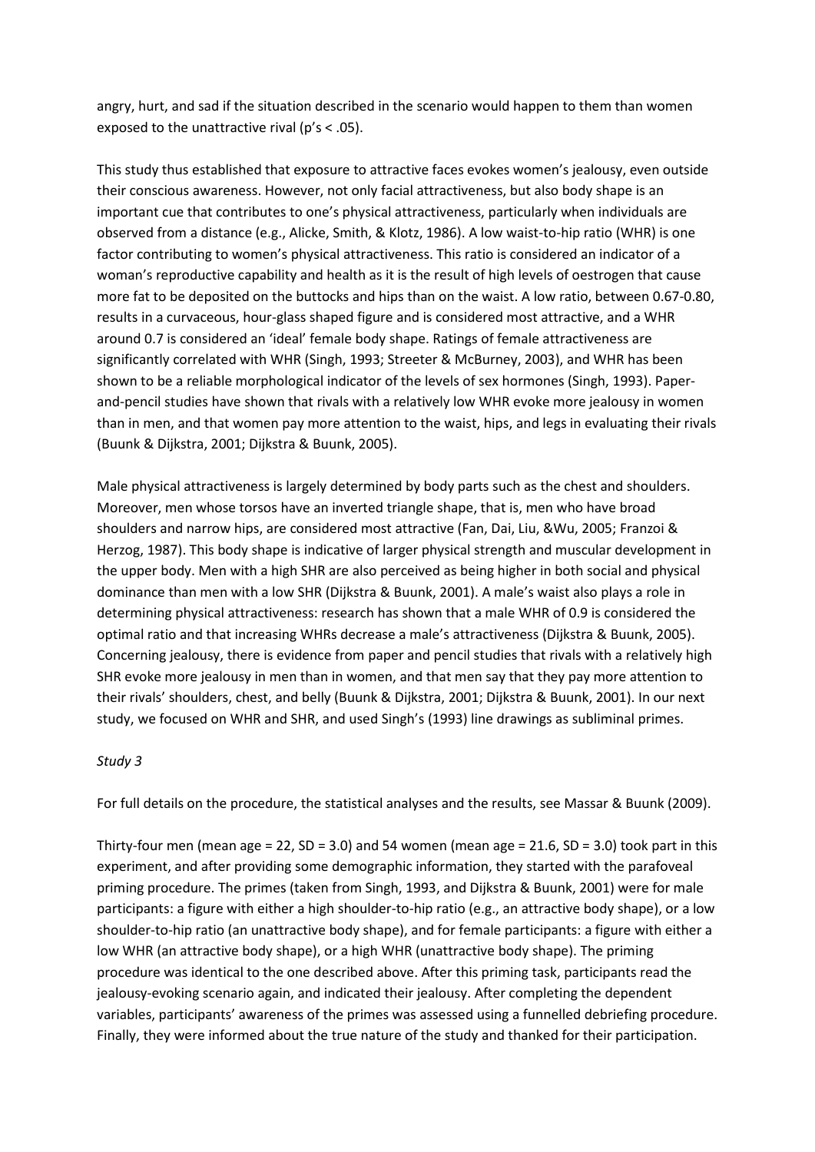angry, hurt, and sad if the situation described in the scenario would happen to them than women exposed to the unattractive rival (p's < .05).

This study thus established that exposure to attractive faces evokes women's jealousy, even outside their conscious awareness. However, not only facial attractiveness, but also body shape is an important cue that contributes to one's physical attractiveness, particularly when individuals are observed from a distance (e.g., Alicke, Smith, & Klotz, 1986). A low waist-to-hip ratio (WHR) is one factor contributing to women's physical attractiveness. This ratio is considered an indicator of a woman's reproductive capability and health as it is the result of high levels of oestrogen that cause more fat to be deposited on the buttocks and hips than on the waist. A low ratio, between 0.67-0.80, results in a curvaceous, hour-glass shaped figure and is considered most attractive, and a WHR around 0.7 is considered an 'ideal' female body shape. Ratings of female attractiveness are significantly correlated with WHR (Singh, 1993; Streeter & McBurney, 2003), and WHR has been shown to be a reliable morphological indicator of the levels of sex hormones (Singh, 1993). Paperand-pencil studies have shown that rivals with a relatively low WHR evoke more jealousy in women than in men, and that women pay more attention to the waist, hips, and legs in evaluating their rivals (Buunk & Dijkstra, 2001; Dijkstra & Buunk, 2005).

Male physical attractiveness is largely determined by body parts such as the chest and shoulders. Moreover, men whose torsos have an inverted triangle shape, that is, men who have broad shoulders and narrow hips, are considered most attractive (Fan, Dai, Liu, &Wu, 2005; Franzoi & Herzog, 1987). This body shape is indicative of larger physical strength and muscular development in the upper body. Men with a high SHR are also perceived as being higher in both social and physical dominance than men with a low SHR (Dijkstra & Buunk, 2001). A male's waist also plays a role in determining physical attractiveness: research has shown that a male WHR of 0.9 is considered the optimal ratio and that increasing WHRs decrease a male's attractiveness (Dijkstra & Buunk, 2005). Concerning jealousy, there is evidence from paper and pencil studies that rivals with a relatively high SHR evoke more jealousy in men than in women, and that men say that they pay more attention to their rivals' shoulders, chest, and belly (Buunk & Dijkstra, 2001; Dijkstra & Buunk, 2001). In our next study, we focused on WHR and SHR, and used Singh's (1993) line drawings as subliminal primes.

#### *Study 3*

For full details on the procedure, the statistical analyses and the results, see Massar & Buunk (2009).

Thirty-four men (mean age = 22, SD = 3.0) and 54 women (mean age = 21.6, SD = 3.0) took part in this experiment, and after providing some demographic information, they started with the parafoveal priming procedure. The primes (taken from Singh, 1993, and Dijkstra & Buunk, 2001) were for male participants: a figure with either a high shoulder-to-hip ratio (e.g., an attractive body shape), or a low shoulder-to-hip ratio (an unattractive body shape), and for female participants: a figure with either a low WHR (an attractive body shape), or a high WHR (unattractive body shape). The priming procedure was identical to the one described above. After this priming task, participants read the jealousy-evoking scenario again, and indicated their jealousy. After completing the dependent variables, participants' awareness of the primes was assessed using a funnelled debriefing procedure. Finally, they were informed about the true nature of the study and thanked for their participation.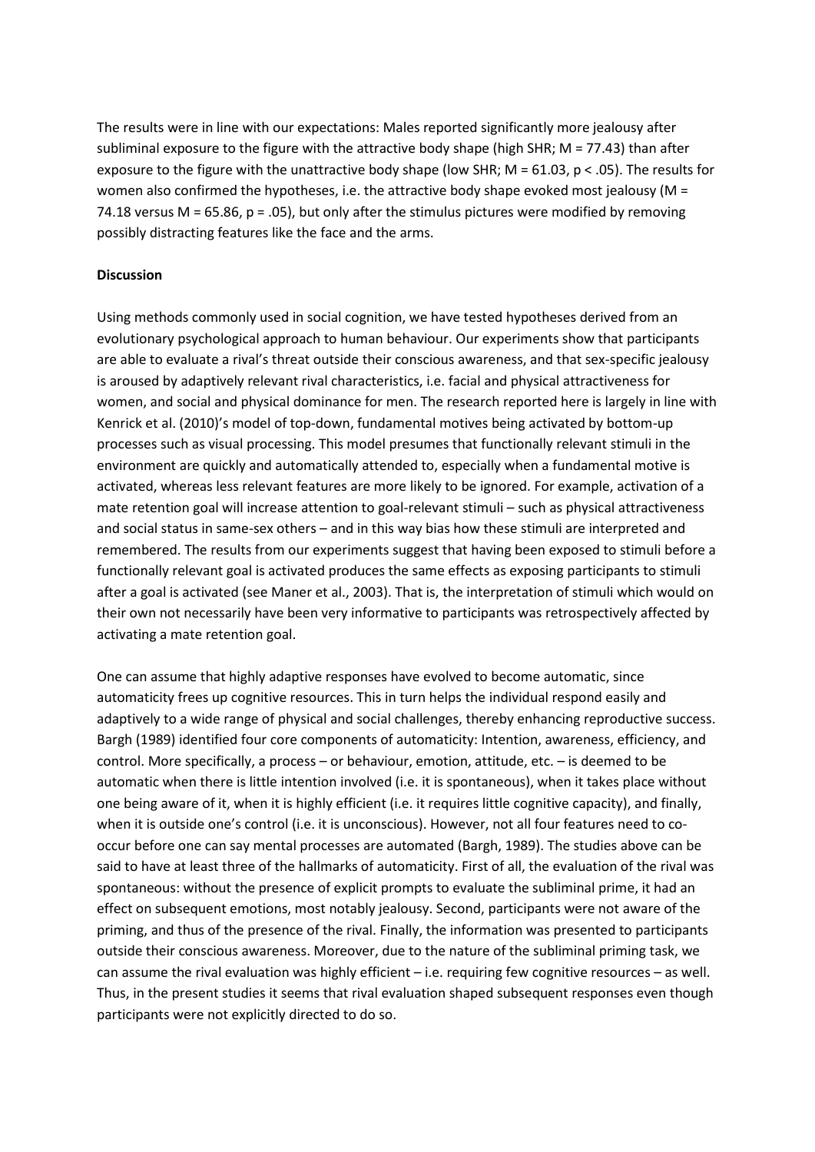The results were in line with our expectations: Males reported significantly more jealousy after subliminal exposure to the figure with the attractive body shape (high SHR; M = 77.43) than after exposure to the figure with the unattractive body shape (low SHR; M = 61.03, p < .05). The results for women also confirmed the hypotheses, i.e. the attractive body shape evoked most jealousy ( $M =$ 74.18 versus M = 65.86, p = .05), but only after the stimulus pictures were modified by removing possibly distracting features like the face and the arms.

### **Discussion**

Using methods commonly used in social cognition, we have tested hypotheses derived from an evolutionary psychological approach to human behaviour. Our experiments show that participants are able to evaluate a rival's threat outside their conscious awareness, and that sex-specific jealousy is aroused by adaptively relevant rival characteristics, i.e. facial and physical attractiveness for women, and social and physical dominance for men. The research reported here is largely in line with Kenrick et al. (2010)'s model of top-down, fundamental motives being activated by bottom-up processes such as visual processing. This model presumes that functionally relevant stimuli in the environment are quickly and automatically attended to, especially when a fundamental motive is activated, whereas less relevant features are more likely to be ignored. For example, activation of a mate retention goal will increase attention to goal-relevant stimuli – such as physical attractiveness and social status in same-sex others – and in this way bias how these stimuli are interpreted and remembered. The results from our experiments suggest that having been exposed to stimuli before a functionally relevant goal is activated produces the same effects as exposing participants to stimuli after a goal is activated (see Maner et al., 2003). That is, the interpretation of stimuli which would on their own not necessarily have been very informative to participants was retrospectively affected by activating a mate retention goal.

One can assume that highly adaptive responses have evolved to become automatic, since automaticity frees up cognitive resources. This in turn helps the individual respond easily and adaptively to a wide range of physical and social challenges, thereby enhancing reproductive success. Bargh (1989) identified four core components of automaticity: Intention, awareness, efficiency, and control. More specifically, a process – or behaviour, emotion, attitude, etc. – is deemed to be automatic when there is little intention involved (i.e. it is spontaneous), when it takes place without one being aware of it, when it is highly efficient (i.e. it requires little cognitive capacity), and finally, when it is outside one's control (i.e. it is unconscious). However, not all four features need to cooccur before one can say mental processes are automated (Bargh, 1989). The studies above can be said to have at least three of the hallmarks of automaticity. First of all, the evaluation of the rival was spontaneous: without the presence of explicit prompts to evaluate the subliminal prime, it had an effect on subsequent emotions, most notably jealousy. Second, participants were not aware of the priming, and thus of the presence of the rival. Finally, the information was presented to participants outside their conscious awareness. Moreover, due to the nature of the subliminal priming task, we can assume the rival evaluation was highly efficient – i.e. requiring few cognitive resources – as well. Thus, in the present studies it seems that rival evaluation shaped subsequent responses even though participants were not explicitly directed to do so.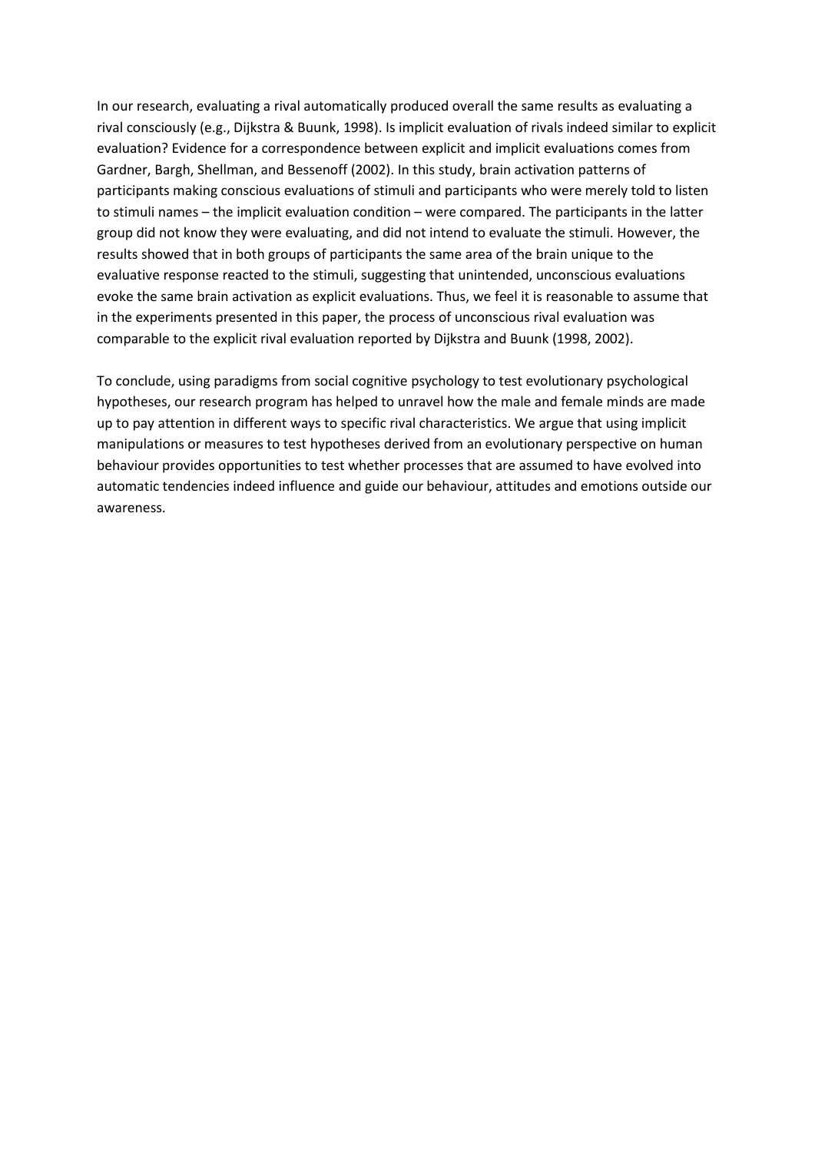In our research, evaluating a rival automatically produced overall the same results as evaluating a rival consciously (e.g., Dijkstra & Buunk, 1998). Is implicit evaluation of rivals indeed similar to explicit evaluation? Evidence for a correspondence between explicit and implicit evaluations comes from Gardner, Bargh, Shellman, and Bessenoff (2002). In this study, brain activation patterns of participants making conscious evaluations of stimuli and participants who were merely told to listen to stimuli names – the implicit evaluation condition – were compared. The participants in the latter group did not know they were evaluating, and did not intend to evaluate the stimuli. However, the results showed that in both groups of participants the same area of the brain unique to the evaluative response reacted to the stimuli, suggesting that unintended, unconscious evaluations evoke the same brain activation as explicit evaluations. Thus, we feel it is reasonable to assume that in the experiments presented in this paper, the process of unconscious rival evaluation was comparable to the explicit rival evaluation reported by Dijkstra and Buunk (1998, 2002).

To conclude, using paradigms from social cognitive psychology to test evolutionary psychological hypotheses, our research program has helped to unravel how the male and female minds are made up to pay attention in different ways to specific rival characteristics. We argue that using implicit manipulations or measures to test hypotheses derived from an evolutionary perspective on human behaviour provides opportunities to test whether processes that are assumed to have evolved into automatic tendencies indeed influence and guide our behaviour, attitudes and emotions outside our awareness.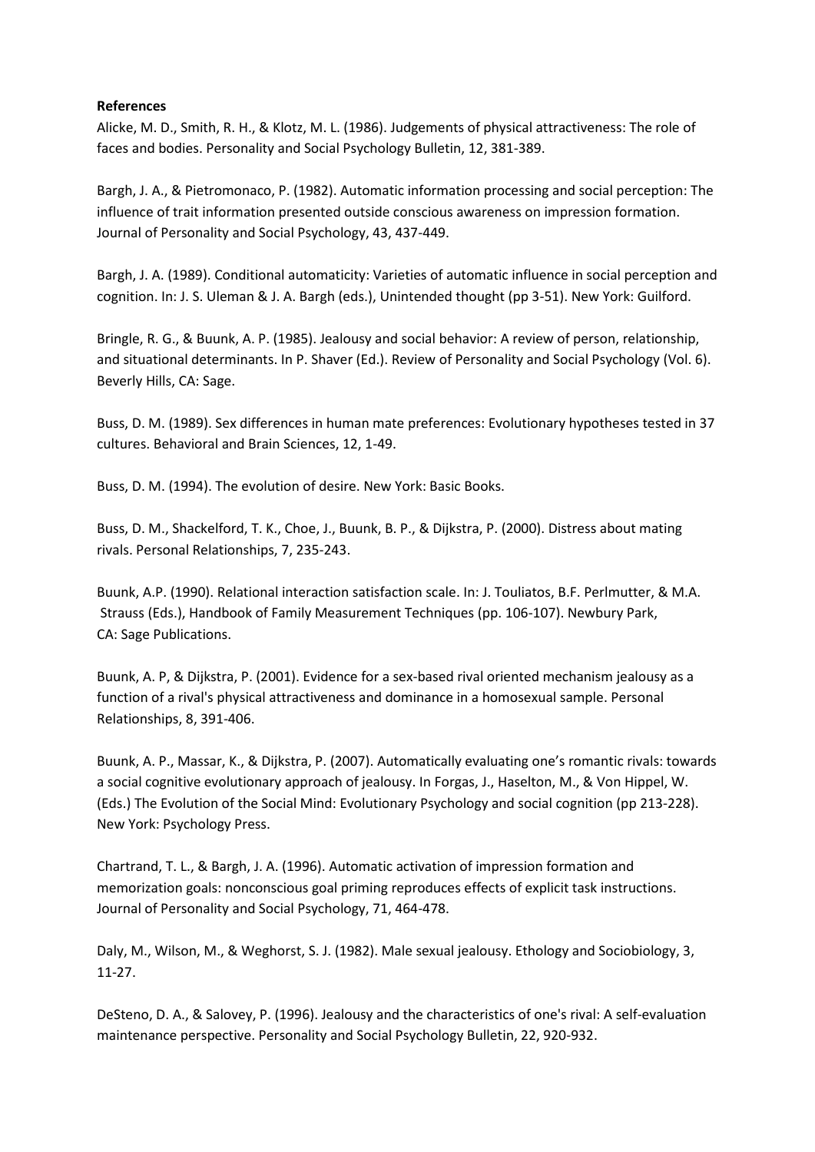### **References**

Alicke, M. D., Smith, R. H., & Klotz, M. L. (1986). Judgements of physical attractiveness: The role of faces and bodies. Personality and Social Psychology Bulletin, 12, 381-389.

Bargh, J. A., & Pietromonaco, P. (1982). Automatic information processing and social perception: The influence of trait information presented outside conscious awareness on impression formation. Journal of Personality and Social Psychology, 43, 437-449.

Bargh, J. A. (1989). Conditional automaticity: Varieties of automatic influence in social perception and cognition. In: J. S. Uleman & J. A. Bargh (eds.), Unintended thought (pp 3-51). New York: Guilford.

Bringle, R. G., & Buunk, A. P. (1985). Jealousy and social behavior: A review of person, relationship, and situational determinants. In P. Shaver (Ed.). Review of Personality and Social Psychology (Vol. 6). Beverly Hills, CA: Sage.

Buss, D. M. (1989). Sex differences in human mate preferences: Evolutionary hypotheses tested in 37 cultures. Behavioral and Brain Sciences, 12, 1-49.

Buss, D. M. (1994). The evolution of desire. New York: Basic Books.

Buss, D. M., Shackelford, T. K., Choe, J., Buunk, B. P., & Dijkstra, P. (2000). Distress about mating rivals. Personal Relationships, 7, 235-243.

Buunk, A.P. (1990). Relational interaction satisfaction scale. In: J. Touliatos, B.F. Perlmutter, & M.A. Strauss (Eds.), Handbook of Family Measurement Techniques (pp. 106-107). Newbury Park, CA: Sage Publications.

Buunk, A. P, & Dijkstra, P. (2001). Evidence for a sex-based rival oriented mechanism jealousy as a function of a rival's physical attractiveness and dominance in a homosexual sample. Personal Relationships, 8, 391-406.

Buunk, A. P., Massar, K., & Dijkstra, P. (2007). Automatically evaluating one's romantic rivals: towards a social cognitive evolutionary approach of jealousy. In Forgas, J., Haselton, M., & Von Hippel, W. (Eds.) The Evolution of the Social Mind: Evolutionary Psychology and social cognition (pp 213-228). New York: Psychology Press.

Chartrand, T. L., & Bargh, J. A. (1996). Automatic activation of impression formation and memorization goals: nonconscious goal priming reproduces effects of explicit task instructions. Journal of Personality and Social Psychology, 71, 464-478.

Daly, M., Wilson, M., & Weghorst, S. J. (1982). Male sexual jealousy. Ethology and Sociobiology, 3, 11-27.

DeSteno, D. A., & Salovey, P. (1996). Jealousy and the characteristics of one's rival: A self-evaluation maintenance perspective. Personality and Social Psychology Bulletin, 22, 920-932.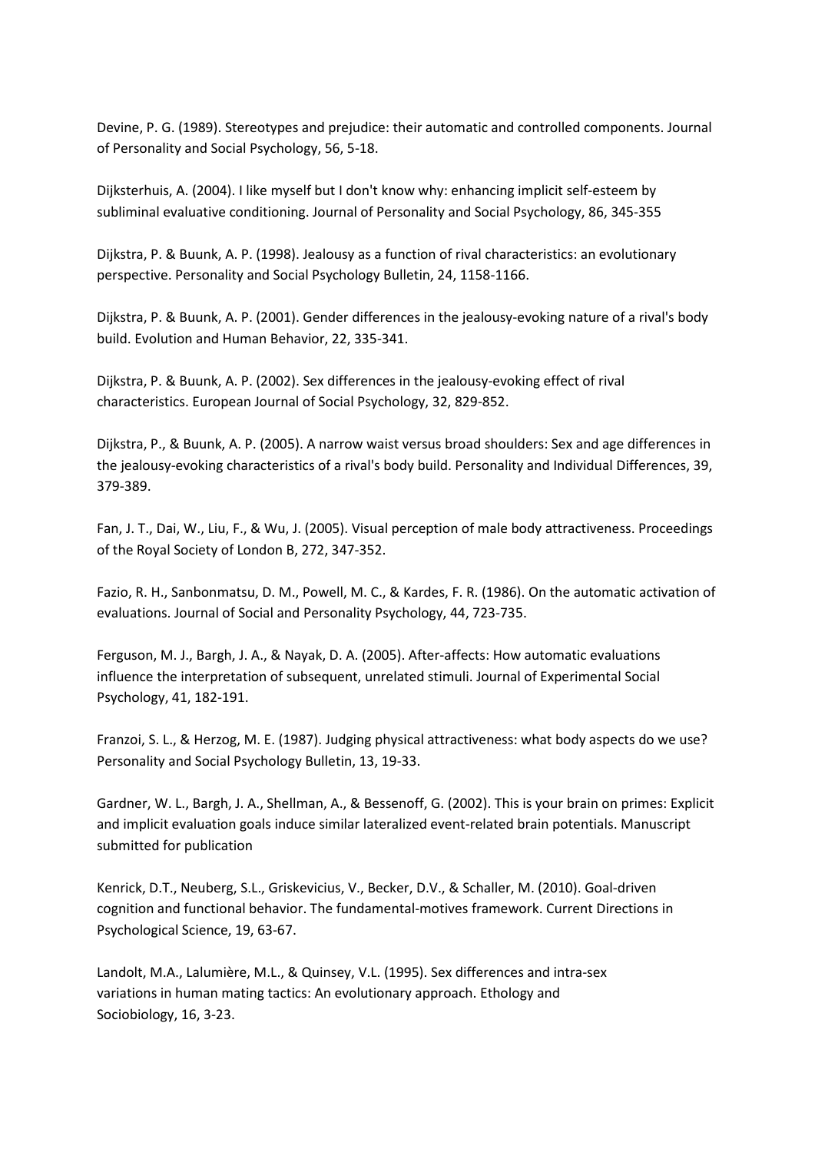Devine, P. G. (1989). Stereotypes and prejudice: their automatic and controlled components. Journal of Personality and Social Psychology, 56, 5-18.

Dijksterhuis, A. (2004). I like myself but I don't know why: enhancing implicit self-esteem by subliminal evaluative conditioning. Journal of Personality and Social Psychology, 86, 345-355

Dijkstra, P. & Buunk, A. P. (1998). Jealousy as a function of rival characteristics: an evolutionary perspective. Personality and Social Psychology Bulletin, 24, 1158-1166.

Dijkstra, P. & Buunk, A. P. (2001). Gender differences in the jealousy-evoking nature of a rival's body build. Evolution and Human Behavior, 22, 335-341.

Dijkstra, P. & Buunk, A. P. (2002). Sex differences in the jealousy-evoking effect of rival characteristics. European Journal of Social Psychology, 32, 829-852.

Dijkstra, P., & Buunk, A. P. (2005). A narrow waist versus broad shoulders: Sex and age differences in the jealousy-evoking characteristics of a rival's body build. Personality and Individual Differences, 39, 379-389.

Fan, J. T., Dai, W., Liu, F., & Wu, J. (2005). Visual perception of male body attractiveness. Proceedings of the Royal Society of London B, 272, 347-352.

Fazio, R. H., Sanbonmatsu, D. M., Powell, M. C., & Kardes, F. R. (1986). On the automatic activation of evaluations. Journal of Social and Personality Psychology, 44, 723-735.

Ferguson, M. J., Bargh, J. A., & Nayak, D. A. (2005). After-affects: How automatic evaluations influence the interpretation of subsequent, unrelated stimuli. Journal of Experimental Social Psychology, 41, 182-191.

Franzoi, S. L., & Herzog, M. E. (1987). Judging physical attractiveness: what body aspects do we use? Personality and Social Psychology Bulletin, 13, 19-33.

Gardner, W. L., Bargh, J. A., Shellman, A., & Bessenoff, G. (2002). This is your brain on primes: Explicit and implicit evaluation goals induce similar lateralized event-related brain potentials. Manuscript submitted for publication

Kenrick, D.T., Neuberg, S.L., Griskevicius, V., Becker, D.V., & Schaller, M. (2010). Goal-driven cognition and functional behavior. The fundamental-motives framework. Current Directions in Psychological Science, 19, 63-67.

Landolt, M.A., Lalumière, M.L., & Quinsey, V.L. (1995). Sex differences and intra-sex variations in human mating tactics: An evolutionary approach. Ethology and Sociobiology, 16, 3-23.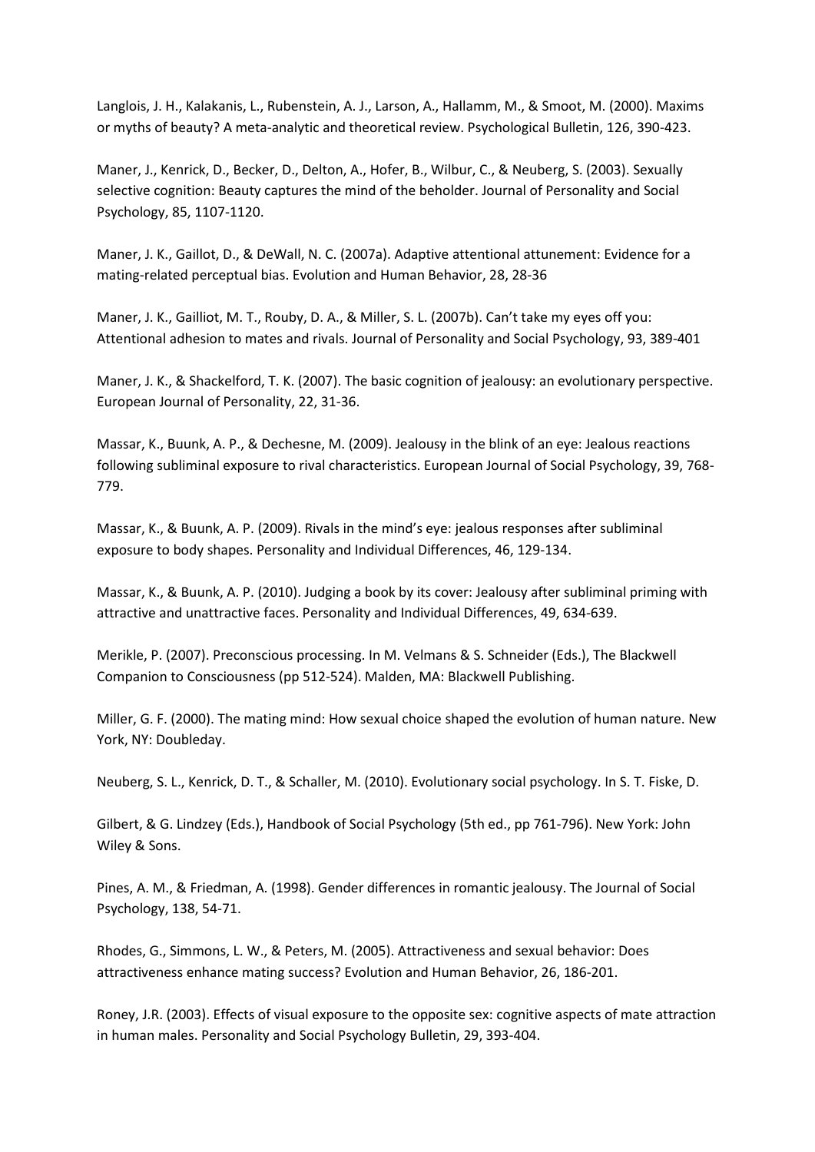Langlois, J. H., Kalakanis, L., Rubenstein, A. J., Larson, A., Hallamm, M., & Smoot, M. (2000). Maxims or myths of beauty? A meta-analytic and theoretical review. Psychological Bulletin, 126, 390-423.

Maner, J., Kenrick, D., Becker, D., Delton, A., Hofer, B., Wilbur, C., & Neuberg, S. (2003). Sexually selective cognition: Beauty captures the mind of the beholder. Journal of Personality and Social Psychology, 85, 1107-1120.

Maner, J. K., Gaillot, D., & DeWall, N. C. (2007a). Adaptive attentional attunement: Evidence for a mating-related perceptual bias. Evolution and Human Behavior, 28, 28-36

Maner, J. K., Gailliot, M. T., Rouby, D. A., & Miller, S. L. (2007b). Can't take my eyes off you: Attentional adhesion to mates and rivals. Journal of Personality and Social Psychology, 93, 389-401

Maner, J. K., & Shackelford, T. K. (2007). The basic cognition of jealousy: an evolutionary perspective. European Journal of Personality, 22, 31-36.

Massar, K., Buunk, A. P., & Dechesne, M. (2009). Jealousy in the blink of an eye: Jealous reactions following subliminal exposure to rival characteristics. European Journal of Social Psychology, 39, 768- 779.

Massar, K., & Buunk, A. P. (2009). Rivals in the mind's eye: jealous responses after subliminal exposure to body shapes. Personality and Individual Differences, 46, 129-134.

Massar, K., & Buunk, A. P. (2010). Judging a book by its cover: Jealousy after subliminal priming with attractive and unattractive faces. Personality and Individual Differences, 49, 634-639.

Merikle, P. (2007). Preconscious processing. In M. Velmans & S. Schneider (Eds.), The Blackwell Companion to Consciousness (pp 512-524). Malden, MA: Blackwell Publishing.

Miller, G. F. (2000). The mating mind: How sexual choice shaped the evolution of human nature. New York, NY: Doubleday.

Neuberg, S. L., Kenrick, D. T., & Schaller, M. (2010). Evolutionary social psychology. In S. T. Fiske, D.

Gilbert, & G. Lindzey (Eds.), Handbook of Social Psychology (5th ed., pp 761-796). New York: John Wiley & Sons.

Pines, A. M., & Friedman, A. (1998). Gender differences in romantic jealousy. The Journal of Social Psychology, 138, 54-71.

Rhodes, G., Simmons, L. W., & Peters, M. (2005). Attractiveness and sexual behavior: Does attractiveness enhance mating success? Evolution and Human Behavior, 26, 186-201.

Roney, J.R. (2003). Effects of visual exposure to the opposite sex: cognitive aspects of mate attraction in human males. Personality and Social Psychology Bulletin, 29, 393-404.